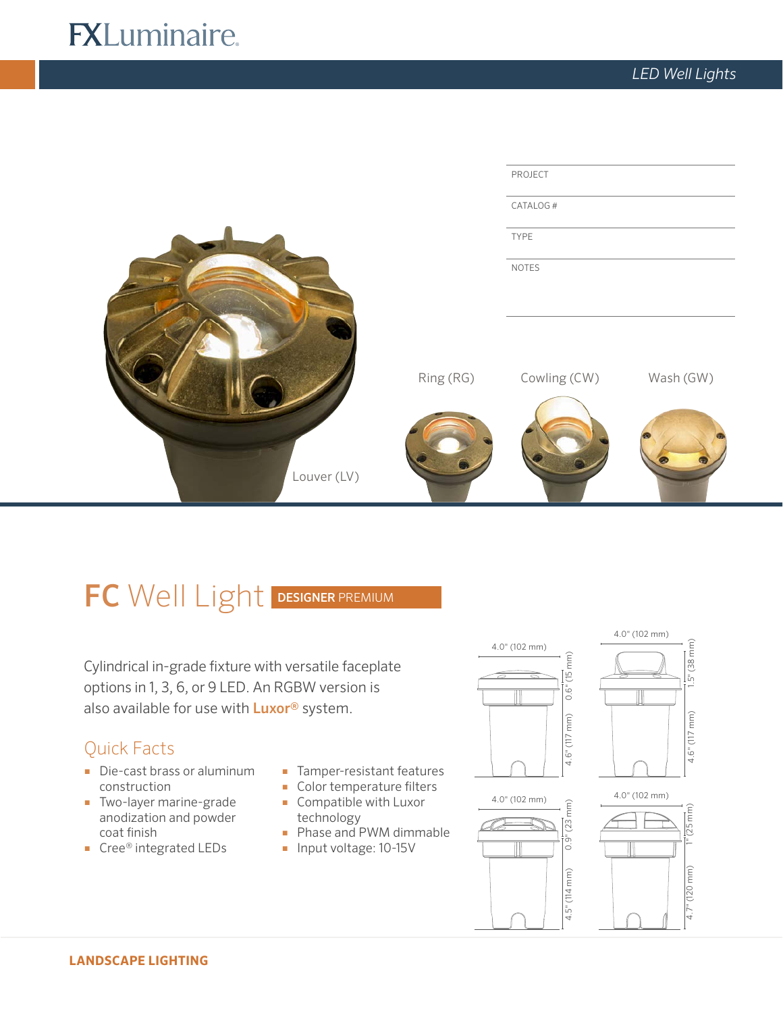# **FXLuminaire.**



# FC Well Light DESIGNER PREMIUM

Cylindrical in-grade fixture with versatile faceplate options in 1, 3, 6, or 9 LED. An RGBW version is also available for use with **Luxor®** system.

# Quick Facts

- Die-cast brass or aluminum construction
- Two-layer marine-grade anodization and powder coat finish
- Cree® integrated LEDs
- Tamper-resistant features
- Color temperature filters
- Compatible with Luxor technology
- Phase and PWM dimmable
- Input voltage: 10-15V









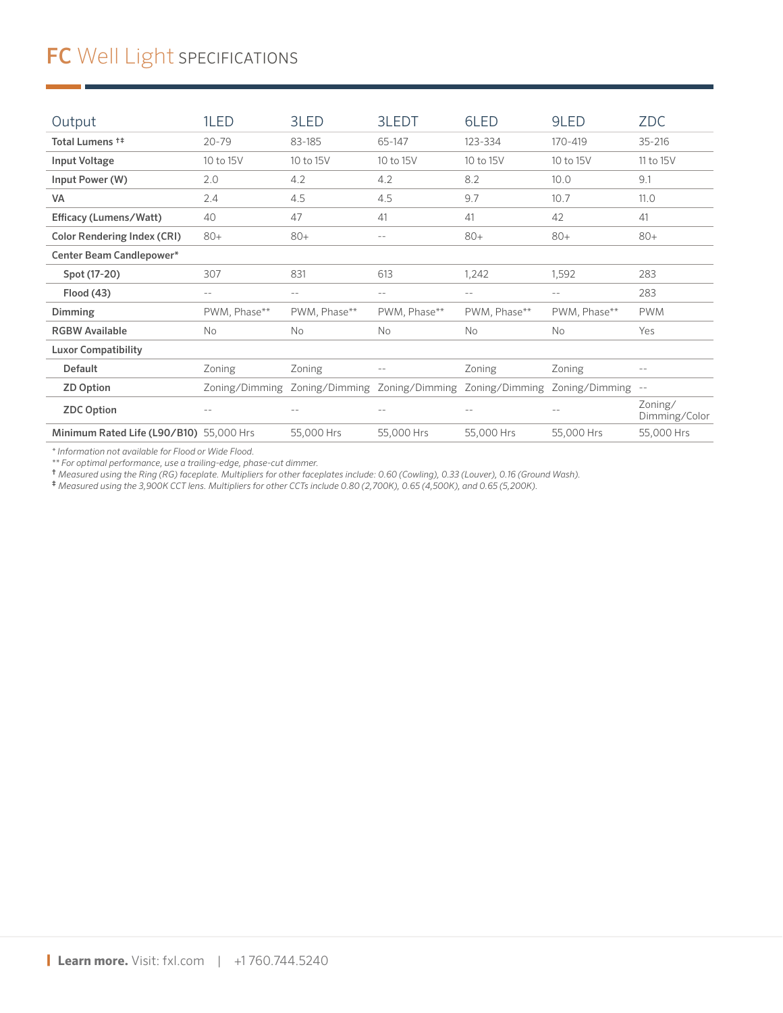# FC Well Light SPECIFICATIONS

| Output                                  | 1LED           | 3LED              | 3LEDT        | 6LED                          | 9LED              | <b>ZDC</b>               |
|-----------------------------------------|----------------|-------------------|--------------|-------------------------------|-------------------|--------------------------|
| Total Lumens <sup>++</sup>              | $20 - 79$      | 83-185            | 65-147       | 123-334                       | 170-419           | $35 - 216$               |
| <b>Input Voltage</b>                    | 10 to 15V      | 10 to 15V         | 10 to 15V    | 10 to 15V                     | 10 to 15V         | 11 to 15V                |
| Input Power (W)                         | 2.0            | 4.2               | 4.2          | 8.2                           | 10.0              | 9.1                      |
| VA                                      | 2.4            | 4.5               | 4.5          | 9.7                           | 10.7              | 11.0                     |
| Efficacy (Lumens/Watt)                  | 40             | 47                | 41           | 41                            | 42                | 41                       |
| <b>Color Rendering Index (CRI)</b>      | $80+$          | $80+$             | $- -$        | $80+$                         | $80+$             | $80+$                    |
| Center Beam Candlepower*                |                |                   |              |                               |                   |                          |
| Spot (17-20)                            | 307            | 831               | 613          | 1,242                         | 1,592             | 283                      |
| Flood (43)                              | $- -$          | $\qquad \qquad -$ | $-$          | $- -$                         | $- -$             | 283                      |
| <b>Dimming</b>                          | PWM, Phase**   | PWM, Phase**      | PWM, Phase** | PWM, Phase**                  | PWM, Phase**      | <b>PWM</b>               |
| <b>RGBW Available</b>                   | No             | No                | No           | <b>No</b>                     | <b>No</b>         | Yes                      |
| <b>Luxor Compatibility</b>              |                |                   |              |                               |                   |                          |
| <b>Default</b>                          | Zoning         | Zoning            | $- -$        | Zoning                        | Zoning            | $- -$                    |
| <b>ZD Option</b>                        | Zoning/Dimming | Zoning/Dimming    |              | Zoning/Dimming Zoning/Dimming | Zoning/Dimming -- |                          |
| <b>ZDC Option</b>                       | $ -$           | $-$               | $-$          | $ -$                          | $ -$              | Zoning/<br>Dimming/Color |
| Minimum Rated Life (L90/B10) 55,000 Hrs |                | 55,000 Hrs        | 55,000 Hrs   | 55,000 Hrs                    | 55,000 Hrs        | 55,000 Hrs               |

*\* Information not available for Flood or Wide Flood.*

*\*\* For optimal performance, use a trailing-edge, phase-cut dimmer.* † *Measured using the Ring (RG) faceplate. Multipliers for other faceplates include: 0.60 (Cowling), 0.33 (Louver), 0.16 (Ground Wash).* 

‡ *Measured using the 3,900K CCT lens. Multipliers for other CCTs include 0.80 (2,700K), 0.65 (4,500K), and 0.65 (5,200K).*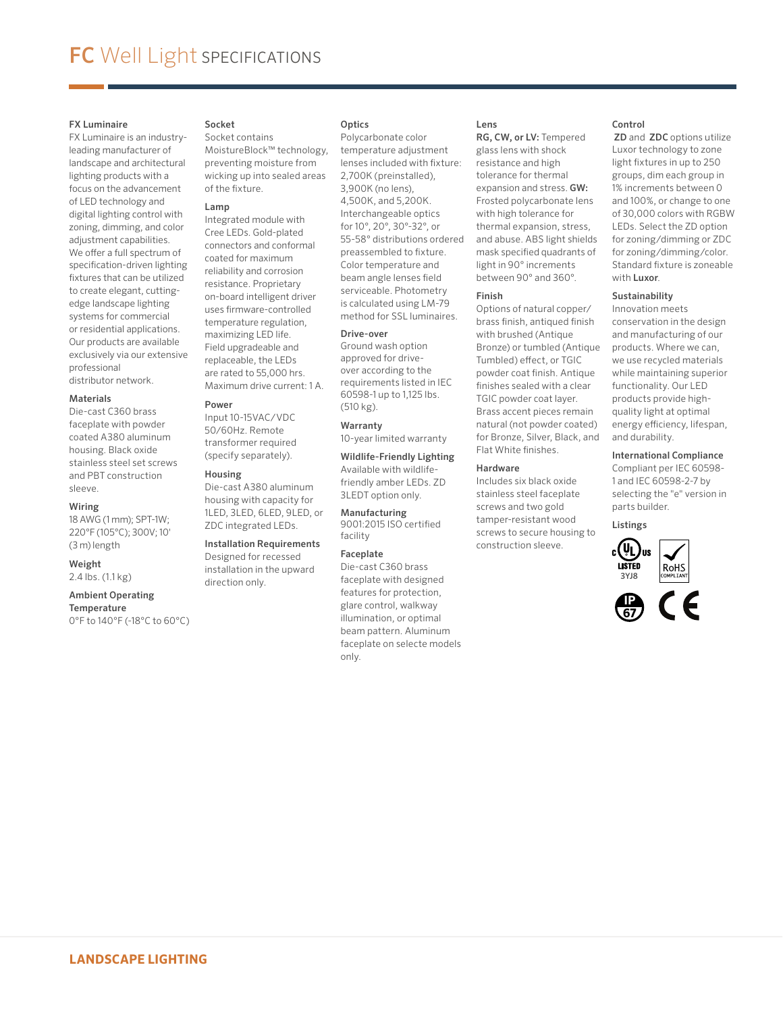### FX Luminaire

FX Luminaire is an industryleading manufacturer of landscape and architectural lighting products with a focus on the advancement of LED technology and digital lighting control with zoning, dimming, and color adjustment capabilities. We offer a full spectrum of specification-driven lighting fixtures that can be utilized to create elegant, cuttingedge landscape lighting systems for commercial or residential applications. Our products are available exclusively via our extensive professional distributor network.

# **Materials**

Die-cast C360 brass faceplate with powder coated A380 aluminum housing. Black oxide stainless steel set screws and PBT construction sleeve.

#### Wiring

18 AWG (1 mm); SPT-1W; 220°F (105°C); 300V; 10' (3 m) length

# Weight

2.4 lbs. (1.1 kg)

#### Ambient Operating **Temperature**

0°F to 140°F (-18°C to 60°C)

### Socket

Socket contains MoistureBlock™ technology, preventing moisture from wicking up into sealed areas of the fixture.

#### Lamp

Integrated module with Cree LEDs. Gold-plated connectors and conformal coated for maximum reliability and corrosion resistance. Proprietary on-board intelligent driver uses firmware-controlled temperature regulation, maximizing LED life. Field upgradeable and replaceable, the LEDs are rated to 55,000 hrs. Maximum drive current: 1 A.

#### Power

Input 10-15VAC/VDC 50/60Hz. Remote transformer required (specify separately).

#### Housing

Die-cast A380 aluminum housing with capacity for 1LED, 3LED, 6LED, 9LED, or ZDC integrated LEDs.

## Installation Requirements Designed for recessed installation in the upward

direction only.

## Optics

Polycarbonate color temperature adjustment lenses included with fixture: 2,700K (preinstalled), 3,900K (no lens), 4,500K, and 5,200K. Interchangeable optics for 10°, 20°, 30°-32°, or 55-58° distributions ordered preassembled to fixture. Color temperature and beam angle lenses field serviceable. Photometry is calculated using LM-79 method for SSL luminaires.

#### Drive-over

Ground wash option approved for driveover according to the requirements listed in IEC 60598-1 up to 1,125 lbs. (510 kg).

Warranty

10-year limited warranty

Wildlife-Friendly Lighting Available with wildlifefriendly amber LEDs. ZD 3LEDT option only.

Manufacturing 9001:2015 ISO certified facility

### Faceplate

Die-cast C360 brass faceplate with designed features for protection, glare control, walkway illumination, or optimal beam pattern. Aluminum faceplate on selecte models only.

### Lens

RG, CW, or LV: Tempered glass lens with shock resistance and high tolerance for thermal expansion and stress. GW: Frosted polycarbonate lens with high tolerance for thermal expansion, stress, and abuse. ABS light shields mask specified quadrants of light in 90° increments between 90° and 360°.

#### Finish

Options of natural copper/ brass finish, antiqued finish with brushed (Antique Bronze) or tumbled (Antique Tumbled) effect, or TGIC powder coat finish. Antique finishes sealed with a clear TGIC powder coat layer. Brass accent pieces remain natural (not powder coated) for Bronze, Silver, Black, and Flat White finishes.

#### Hardware

Includes six black oxide stainless steel faceplate screws and two gold tamper-resistant wood screws to secure housing to construction sleeve.



 ZD and ZDC options utilize Luxor technology to zone light fixtures in up to 250 groups, dim each group in 1% increments between 0 and 100%, or change to one of 30,000 colors with RGBW LEDs. Select the ZD option for zoning/dimming or ZDC for zoning/dimming/color. Standard fixture is zoneable with Luxor.

### Sustainability

Innovation meets conservation in the design and manufacturing of our products. Where we can, we use recycled materials while maintaining superior functionality. Our LED products provide highquality light at optimal energy efficiency, lifespan, and durability.

#### International Compliance

Compliant per IEC 60598- 1 and IEC 60598-2-7 by selecting the "e" version in parts builder.





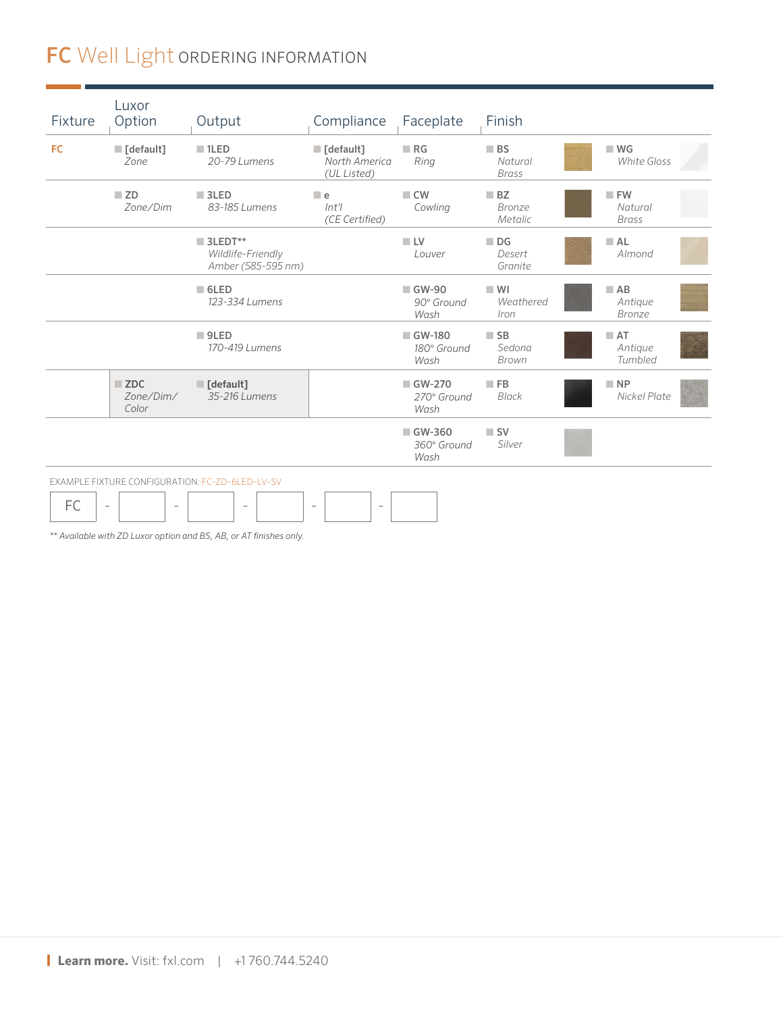# FC Well Light ORDERING INFORMATION

| Fixture | Luxor<br>Option                                      | Output                                                            | Compliance                                               | Faceplate                       | Finish                                       |                                   |
|---------|------------------------------------------------------|-------------------------------------------------------------------|----------------------------------------------------------|---------------------------------|----------------------------------------------|-----------------------------------|
| FC.     | $\blacksquare$ [default]<br>Zone                     | $\blacksquare$ 1LED<br>20-79 Lumens                               | $\blacksquare$ [default]<br>North America<br>(UL Listed) | RG<br>Ring                      | $\blacksquare$ BS<br>Natural<br><b>Brass</b> | $W$ G<br><b>White Gloss</b>       |
|         | ZD<br>Zone/Dim                                       | $\blacksquare$ 3LED<br>83-185 Lumens                              | $\blacksquare$ e<br>$Int$ ' $\prime$<br>(CE Certified)   | $\Box$ CW<br>Cowling            | BZ<br><b>Bronze</b><br>Metalic               | FW<br>Natural<br><b>Brass</b>     |
|         |                                                      | $\blacksquare$ 3LEDT**<br>Wildlife-Friendly<br>Amber (585-595 nm) |                                                          | $\blacksquare$ LV<br>Louver     | $\blacksquare$ DG<br>Desert<br>Granite       | A <sub>L</sub><br>Almond          |
|         |                                                      | $\blacksquare$ 6LED<br>123-334 Lumens                             |                                                          | ■ GW-90<br>90° Ground<br>Wash   | W <sub>1</sub><br>Weathered<br>Iron          | $A$ B<br>Antique<br><b>Bronze</b> |
|         |                                                      | $\blacksquare$ 9LED<br>170-419 Lumens                             |                                                          | ■ GW-180<br>180° Ground<br>Wash | $\blacksquare$ SB<br>Sedona<br>Brown         | AT<br>Antique<br>Tumbled          |
|         | $\blacksquare$ ZDC<br>Zone/Dim/<br>Color             | $\blacksquare$ [default]<br>35-216 Lumens                         |                                                          | GW-270<br>270° Ground<br>Wash   | $\blacksquare$ FB<br>Black                   | $\blacksquare$ NP<br>Nickel Plate |
|         |                                                      |                                                                   |                                                          | GW-360<br>360° Ground<br>Wash   | $\blacksquare$ SV<br>Silver                  |                                   |
|         |                                                      | EXAMPLE FIXTURE CONFIGURATION: FC-ZD-6LED-LV-SV                   |                                                          |                                 |                                              |                                   |
| FC      | $\overline{\phantom{a}}$<br>$\overline{\phantom{a}}$ | $\equiv$                                                          | $\overline{\phantom{a}}$<br>$\overline{\phantom{a}}$     |                                 |                                              |                                   |

*\*\* Available with ZD Luxor option and BS, AB, or AT finishes only.*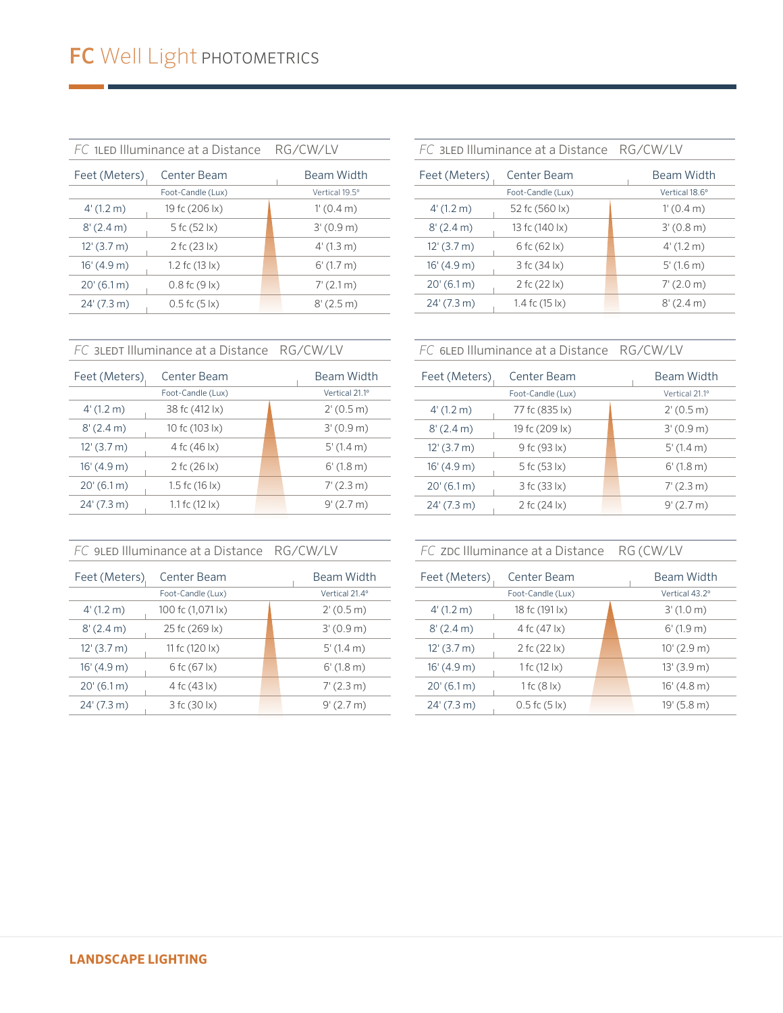| FC 1LED Illuminance at a Distance | RG/CW/LV                    |                        |
|-----------------------------------|-----------------------------|------------------------|
| Center Beam<br>Feet (Meters)      |                             | Beam Width             |
| Foot-Candle (Lux)                 |                             | Vertical 19.5°         |
| 4'(1.2 m)                         | 19 fc (206 lx)              | 1'(0.4 m)              |
| 8'(2.4 m)                         | 5 fc $(52 \, \text{lx})$    | 3'(0.9 m)              |
| $12'$ (3.7 m)                     | 2 fc $(23 \, \text{lx})$    | $4'(1.3 \text{ m})$    |
| 16'(4.9 m)                        | 1.2 fc $(13 \text{ k})$     | $6'(1.7)$ m)           |
| $20'(6.1 \text{ m})$              | $0.8$ fc $(9 \, \text{lx})$ | $7'(2.1 \text{ m})$    |
| 24' (7.3 m)                       | $0.5$ fc $(5 \, \text{lx})$ | $8'(2.5 \,\mathrm{m})$ |
|                                   |                             |                        |

|                              | FC 3LED Illuminance at a Distance RG/CW/LV |                     |
|------------------------------|--------------------------------------------|---------------------|
| Center Beam<br>Feet (Meters) |                                            | <b>Beam Width</b>   |
|                              | Foot-Candle (Lux)                          | Vertical 18.6°      |
| 4'(1.2 m)                    | 52 fc (560 lx)                             | $1'(0.4 \text{ m})$ |
| 8'(2.4 m)                    | 13 fc (140 lx)                             | $3'(0.8 \text{ m})$ |
| $12'$ (3.7 m)                | 6 fc (62 lx)                               | 4'(1.2 m)           |
| 16' (4.9 m)                  | 3fc(34 x)                                  | 5'(1.6 m)           |
| 20'(6.1m)                    | 2 fc $(22 \, \text{lx})$                   | $7'(2.0 \text{ m})$ |
| 24' (7.3 m)                  | 1.4 fc $(15 \text{ lx})$                   | $8'(2.4 \text{ m})$ |
|                              |                                            |                     |

*FC* 3LEDT Illuminance at a Distance RG/CW/LV

| Feet (Meters)        | Center Beam                | Beam Width |                     |
|----------------------|----------------------------|------------|---------------------|
|                      | Foot-Candle (Lux)          |            | Vertical 21.1°      |
| 4'(1.2 m)            | 38 fc (412 lx)             |            | $2'(0.5 \text{ m})$ |
| $8'(2.4 \text{ m})$  | 10 fc (103 lx)             |            | 3'(0.9 m)           |
| $12'$ (3.7 m)        | 4 fc (46 lx)               |            | $5'(1.4 \text{ m})$ |
| 16' (4.9 m)          | 2 fc (26 lx)               |            | $6'$ (1.8 m)        |
| $20'(6.1 \text{ m})$ | 1.5 fc $(16 \text{ k})$    |            | $7'(2.3 \text{ m})$ |
| 24' (7.3 m)          | 1.1 fc $(12 \, \text{lx})$ |            | $9'(2.7)$ m         |
|                      |                            |            |                     |

|  |  | FC 9LED Illuminance at a Distance RG/CW/LV |
|--|--|--------------------------------------------|
|  |  |                                            |

| Feet (Meters)        | Center Beam              |  | Beam Width          |
|----------------------|--------------------------|--|---------------------|
|                      | Foot-Candle (Lux)        |  | Vertical 21.4°      |
| $4'(1.2 \text{ m})$  | 100 fc (1,071 lx)        |  | $2'(0.5 \text{ m})$ |
| $8'(2.4 \text{ m})$  | 25 fc (269 lx)           |  | 3'(0.9 m)           |
| $12'$ (3.7 m)        | 11 fc $(120 \text{ lx})$ |  | $5'(1.4 \text{ m})$ |
| 16'(4.9 m)           | 6fc(67)x)                |  | $6'(1.8 \text{ m})$ |
| $20'(6.1 \text{ m})$ | 4 fc (43 lx)             |  | $7'(2.3 \text{ m})$ |
| 24' (7.3 m)          | 3 fc (30 lx)             |  | 9'(2.7 m)           |

# *FC* 6LED Illuminance at a Distance RG/CW/LV

| Feet (Meters)       | Center Beam              |  | Beam Width          |
|---------------------|--------------------------|--|---------------------|
|                     | Foot-Candle (Lux)        |  | Vertical 21.1°      |
| $4'(1.2 \text{ m})$ | 77 fc (835 lx)           |  | $2'(0.5 \text{ m})$ |
| $8'(2.4 \text{ m})$ | 19 fc (209 lx)           |  | 3'(0.9 m)           |
| $12'$ (3.7 m)       | 9 fc (93 lx)             |  | $5'(1.4 \text{ m})$ |
| 16'(4.9 m)          | 5 fc (53 lx)             |  | $6'(1.8 \text{ m})$ |
| 20'(6.1m)           | 3 fc (33 lx)             |  | $7'(2.3 \text{ m})$ |
| 24' (7.3 m)         | 2 fc $(24 \, \text{lx})$ |  | 9'(2.7 m)           |

*FC* ZDC Illuminance at a Distance RG (CW/LV

| Feet (Meters)       | Center Beam                 |  |                      |
|---------------------|-----------------------------|--|----------------------|
|                     | Foot-Candle (Lux)           |  | Vertical 43.2°       |
| $4'(1.2 \text{ m})$ | 18 fc (191 lx)              |  | $3'(1.0 \text{ m})$  |
| 8'(2.4 m)           | 4 fc (47 lx)                |  | $6'$ (1.9 m)         |
| $12'$ (3.7 m)       | 2 fc $(22 \, \text{lx})$    |  | $10'(2.9 \text{ m})$ |
| 16' (4.9 m)         | 1 fc $(12 \, \text{lx})$    |  | 13'(3.9 m)           |
| 20'(6.1m)           | 1 fc $(8 \mid x)$           |  | 16' (4.8 m)          |
| 24' (7.3 m)         | $0.5$ fc $(5 \, \text{lx})$ |  | 19' (5.8 m)          |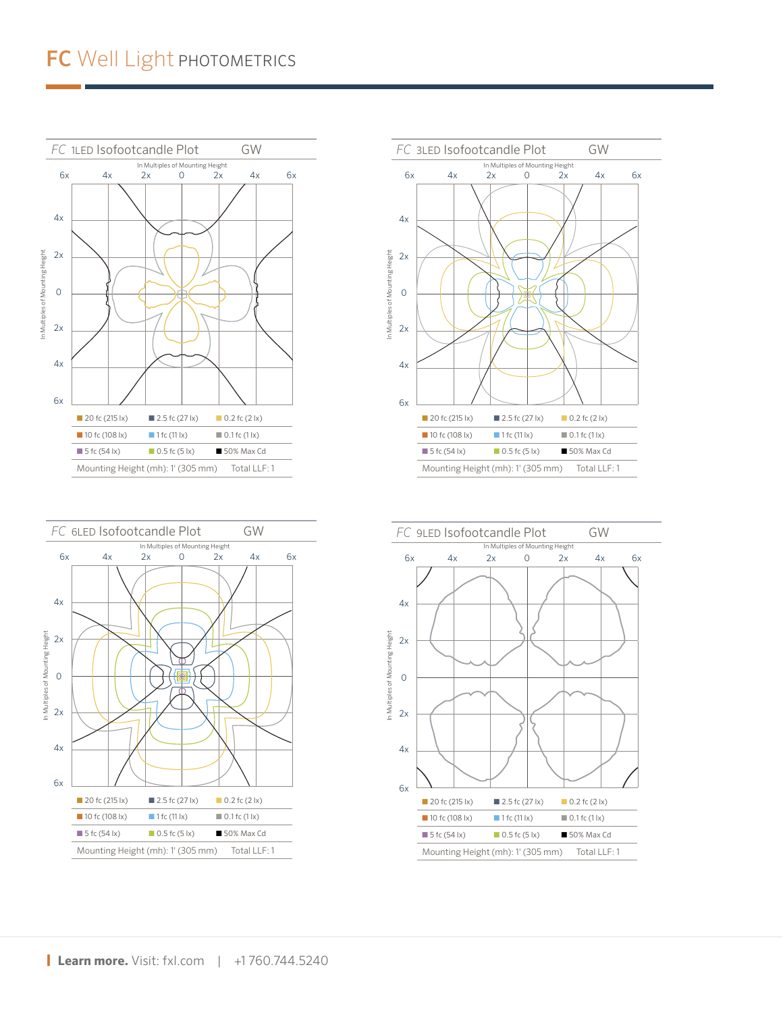